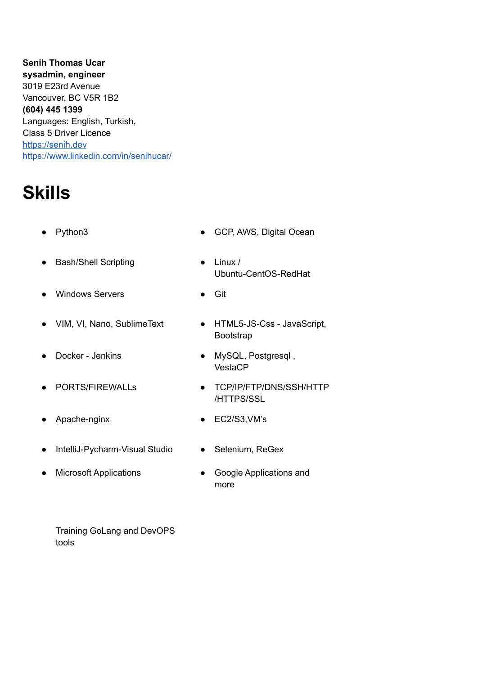**Senih Thomas Ucar sysadmin, engineer** 3019 E23rd Avenue Vancouver, BC V5R 1B2 **(604) 445 1399** Languages: English, Turkish, Class 5 Driver Licence <https://senih.dev> <https://www.linkedin.com/in/senihucar/>

# **Skills**

- - Python3 **•** GCP, AWS, Digital Ocean
- Bash/Shell Scripting Linux /
- Windows Servers Git
- VIM, VI, Nano, SublimeText HTML5-JS-Css JavaScript,
- 
- 
- Apache-nginx EC2/S3, VM's
- IntelliJ-Pycharm-Visual Studio
- **Microsoft Applications**
- VestaCP
- PORTS/FIREWALLs <br>
TCP/IP/FTP/DNS/SSH/HTTP /HTTPS/SSL
	-
	- Selenium, ReGex
	- Google Applications and more

Training GoLang and DevOPS tools

- Ubuntu-CentOS-RedHat
	-
	- Bootstrap
- 

● Docker - Jenkins ● MySQL, Postgresql ,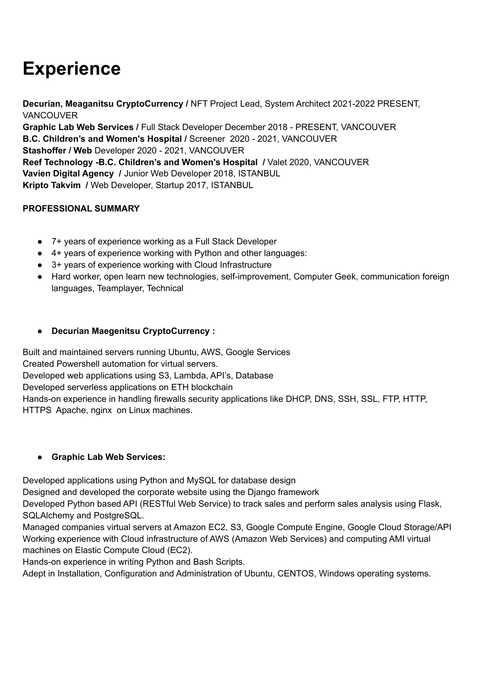# **Experience**

**Decurian, Meaganitsu CryptoCurrency /** NFT Project Lead, System Architect 2021-2022 PRESENT, **VANCOUVER** 

**Graphic Lab Web Services /** Full Stack Developer December 2018 - PRESENT, VANCOUVER **B.C. Children's and Women's Hospital /** Screener 2020 - 2021, VANCOUVER **Stashoffer / Web** Developer 2020 - 2021, VANCOUVER **Reef Technology -B.C. Children's and Women's Hospital /** Valet 2020, VANCOUVER **Vavien Digital Agency /** Junior Web Developer 2018, ISTANBUL **Kripto Takvim /** Web Developer, Startup 2017, ISTANBUL

### **PROFESSIONAL SUMMARY**

- 7+ years of experience working as a Full Stack Developer
- 4+ years of experience working with Python and other languages:
- 3+ years of experience working with Cloud Infrastructure
- Hard worker, open learn new technologies, self-improvement, Computer Geek, communication foreign languages, Teamplayer, Technical

### ● **Decurian Maegenitsu CryptoCurrency :**

Built and maintained servers running Ubuntu, AWS, Google Services Created Powershell automation for virtual servers. Developed web applications using S3, Lambda, API's, Database Developed serverless applications on ETH blockchain Hands-on experience in handling firewalls security applications like DHCP, DNS, SSH, SSL, FTP, HTTP, HTTPS Apache, nginx on Linux machines.

### **● Graphic Lab Web Services:**

Developed applications using Python and MySQL for database design

Designed and developed the corporate website using the Django framework

Developed Python based API (RESTful Web Service) to track sales and perform sales analysis using Flask, SQLAlchemy and PostgreSQL.

Managed companies virtual servers at Amazon EC2, S3, Google Compute Engine, Google Cloud Storage/API Working experience with Cloud infrastructure of AWS (Amazon Web Services) and computing AMI virtual machines on Elastic Compute Cloud (EC2).

Hands-on experience in writing Python and Bash Scripts.

Adept in Installation, Configuration and Administration of Ubuntu, CENTOS, Windows operating systems.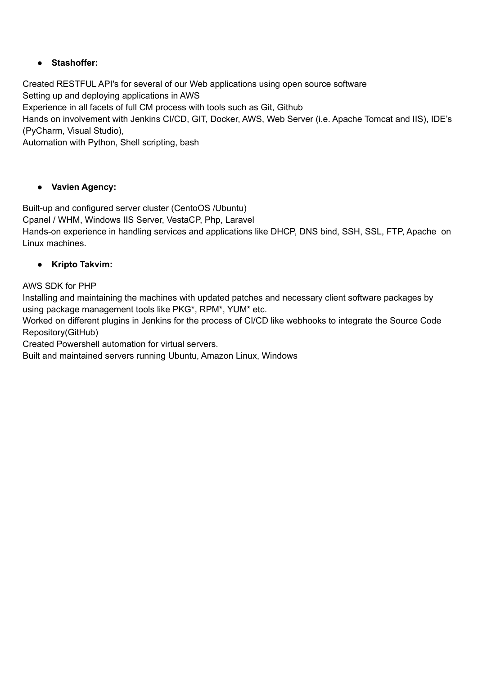### ● **Stashoffer:**

Created RESTFUL API's for several of our Web applications using open source software Setting up and deploying applications in AWS Experience in all facets of full CM process with tools such as Git, Github Hands on involvement with Jenkins CI/CD, GIT, Docker, AWS, Web Server (i.e. Apache Tomcat and IIS), IDE's (PyCharm, Visual Studio), Automation with Python, Shell scripting, bash

### ● **Vavien Agency:**

Built-up and configured server cluster (CentoOS /Ubuntu)

Cpanel / WHM, Windows IIS Server, VestaCP, Php, Laravel

Hands-on experience in handling services and applications like DHCP, DNS bind, SSH, SSL, FTP, Apache on Linux machines.

### ● **Kripto Takvim:**

AWS SDK for PHP

Installing and maintaining the machines with updated patches and necessary client software packages by using package management tools like PKG\*, RPM\*, YUM\* etc.

Worked on different plugins in Jenkins for the process of CI/CD like webhooks to integrate the Source Code Repository(GitHub)

Created Powershell automation for virtual servers.

Built and maintained servers running Ubuntu, Amazon Linux, Windows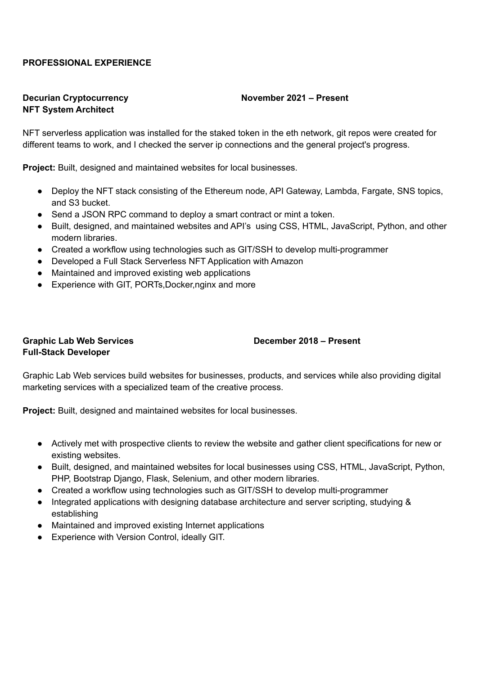#### **PROFESSIONAL EXPERIENCE**

#### **Decurian Cryptocurrency November 2021 – Present NFT System Architect**

NFT serverless application was installed for the staked token in the eth network, git repos were created for different teams to work, and I checked the server ip connections and the general project's progress.

**Project:** Built, designed and maintained websites for local businesses.

- Deploy the NFT stack consisting of the Ethereum node, API Gateway, Lambda, Fargate, SNS topics, and S3 bucket.
- Send a JSON RPC command to deploy a smart contract or mint a token.
- Built, designed, and maintained websites and API's using CSS, HTML, JavaScript, Python, and other modern libraries.
- Created a workflow using technologies such as GIT/SSH to develop multi-programmer
- Developed a Full Stack Serverless NFT Application with Amazon
- Maintained and improved existing web applications
- Experience with GIT, PORTs, Docker, nginx and more

#### **Graphic Lab Web Services December 2018 – Present Full-Stack Developer**

Graphic Lab Web services build websites for businesses, products, and services while also providing digital marketing services with a specialized team of the creative process.

**Project:** Built, designed and maintained websites for local businesses.

- Actively met with prospective clients to review the website and gather client specifications for new or existing websites.
- Built, designed, and maintained websites for local businesses using CSS, HTML, JavaScript, Python, PHP, Bootstrap Django, Flask, Selenium, and other modern libraries.
- Created a workflow using technologies such as GIT/SSH to develop multi-programmer
- Integrated applications with designing database architecture and server scripting, studying & establishing
- Maintained and improved existing Internet applications
- Experience with Version Control, ideally GIT.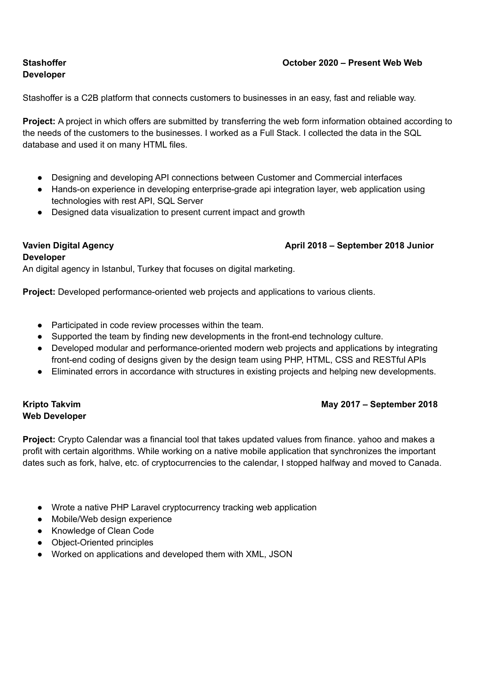#### **Stashoffer October 2020 – Present Web Web**

# **Developer**

Stashoffer is a C2B platform that connects customers to businesses in an easy, fast and reliable way.

**Project:** A project in which offers are submitted by transferring the web form information obtained according to the needs of the customers to the businesses. I worked as a Full Stack. I collected the data in the SQL database and used it on many HTML files.

- Designing and developing API connections between Customer and Commercial interfaces
- Hands-on experience in developing enterprise-grade api integration layer, web application using technologies with rest API, SQL Server
- Designed data visualization to present current impact and growth

#### **Vavien Digital Agency April 2018 – September 2018 Junior**

#### **Developer**

An digital agency in Istanbul, Turkey that focuses on digital marketing.

**Project:** Developed performance-oriented web projects and applications to various clients.

- Participated in code review processes within the team.
- Supported the team by finding new developments in the front-end technology culture.
- Developed modular and performance-oriented modern web projects and applications by integrating front-end coding of designs given by the design team using PHP, HTML, CSS and RESTful APIs
- Eliminated errors in accordance with structures in existing projects and helping new developments.

# **Web Developer**

#### **Kripto Takvim May 2017 – September 2018**

**Project:** Crypto Calendar was a financial tool that takes updated values from finance. yahoo and makes a profit with certain algorithms. While working on a native mobile application that synchronizes the important dates such as fork, halve, etc. of cryptocurrencies to the calendar, I stopped halfway and moved to Canada.

- Wrote a native PHP Laravel cryptocurrency tracking web application
- Mobile/Web design experience
- Knowledge of Clean Code
- Object-Oriented principles
- Worked on applications and developed them with XML, JSON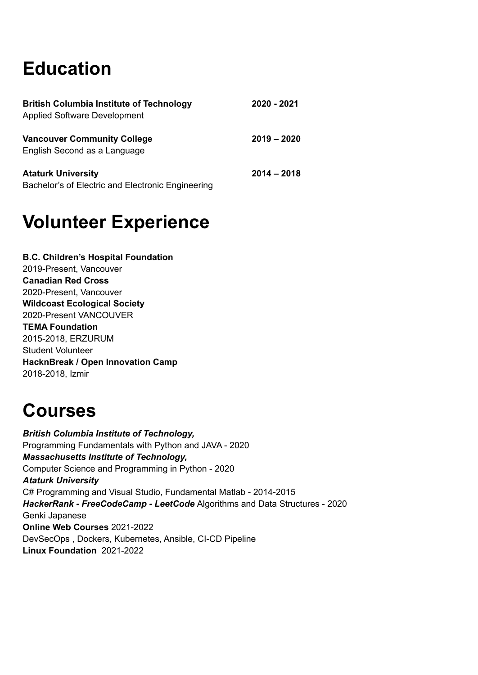# **Education**

| <b>British Columbia Institute of Technology</b><br><b>Applied Software Development</b> | 2020 - 2021   |
|----------------------------------------------------------------------------------------|---------------|
| <b>Vancouver Community College</b><br>English Second as a Language                     | $2019 - 2020$ |
| <b>Ataturk University</b><br>Bachelor's of Electric and Electronic Engineering         | $2014 - 2018$ |

### **Volunteer Experience**

**B.C. Children's Hospital Foundation** 2019-Present, Vancouver **Canadian Red Cross** 2020-Present, Vancouver **Wildcoast Ecological Society** 2020-Present VANCOUVER **TEMA Foundation** 2015-2018, ERZURUM Student Volunteer **HacknBreak / Open Innovation Camp** 2018-2018, Izmir

### **Courses**

*British Columbia Institute of Technology,* Programming Fundamentals with Python and JAVA - 2020 *Massachusetts Institute of Technology,* Computer Science and Programming in Python - 2020 *Ataturk University* C# Programming and Visual Studio, Fundamental Matlab - 2014-2015 *HackerRank - FreeCodeCamp - LeetCode* Algorithms and Data Structures - 2020 Genki Japanese **Online Web Courses** 2021-2022 DevSecOps , Dockers, Kubernetes, Ansible, CI-CD Pipeline **Linux Foundation** 2021-2022